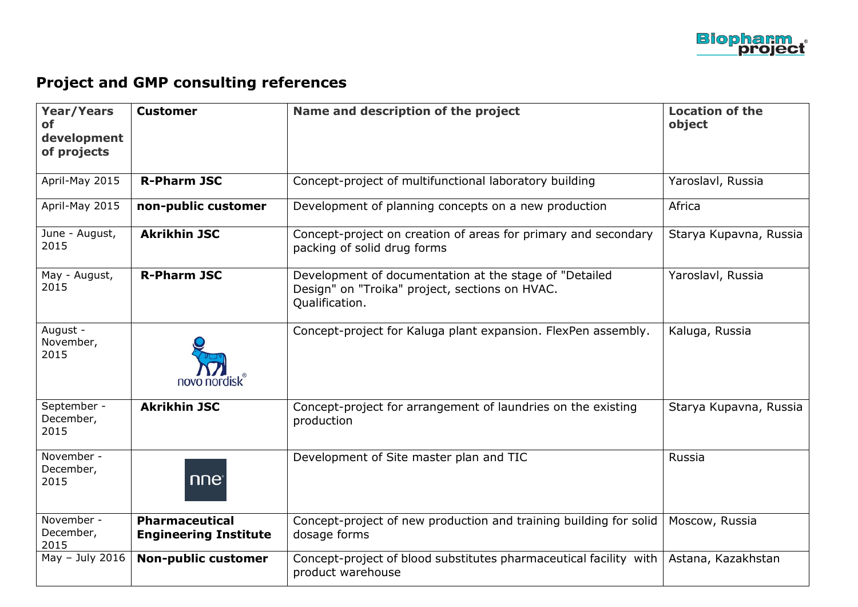

## **Project and GMP consulting references**

| <b>Year/Years</b><br><b>of</b><br>development<br>of projects | <b>Customer</b>                                       | Name and description of the project                                                                                        | <b>Location of the</b><br>object |
|--------------------------------------------------------------|-------------------------------------------------------|----------------------------------------------------------------------------------------------------------------------------|----------------------------------|
| April-May 2015                                               | <b>R-Pharm JSC</b>                                    | Concept-project of multifunctional laboratory building                                                                     | Yaroslavl, Russia                |
| April-May 2015                                               | non-public customer                                   | Development of planning concepts on a new production                                                                       | Africa                           |
| June - August,<br>2015                                       | <b>Akrikhin JSC</b>                                   | Concept-project on creation of areas for primary and secondary<br>packing of solid drug forms                              | Starya Kupavna, Russia           |
| May - August,<br>2015                                        | <b>R-Pharm JSC</b>                                    | Development of documentation at the stage of "Detailed<br>Design" on "Troika" project, sections on HVAC.<br>Qualification. | Yaroslavl, Russia                |
| August -<br>November,<br>2015                                | novo nordisk                                          | Concept-project for Kaluga plant expansion. FlexPen assembly.                                                              | Kaluga, Russia                   |
| September -<br>December,<br>2015                             | <b>Akrikhin JSC</b>                                   | Concept-project for arrangement of laundries on the existing<br>production                                                 | Starya Kupavna, Russia           |
| November -<br>December,<br>2015                              | nne                                                   | Development of Site master plan and TIC                                                                                    | Russia                           |
| November -<br>December,<br>2015                              | <b>Pharmaceutical</b><br><b>Engineering Institute</b> | Concept-project of new production and training building for solid<br>dosage forms                                          | Moscow, Russia                   |
| May $-$ July 2016                                            | <b>Non-public customer</b>                            | Concept-project of blood substitutes pharmaceutical facility with<br>product warehouse                                     | Astana, Kazakhstan               |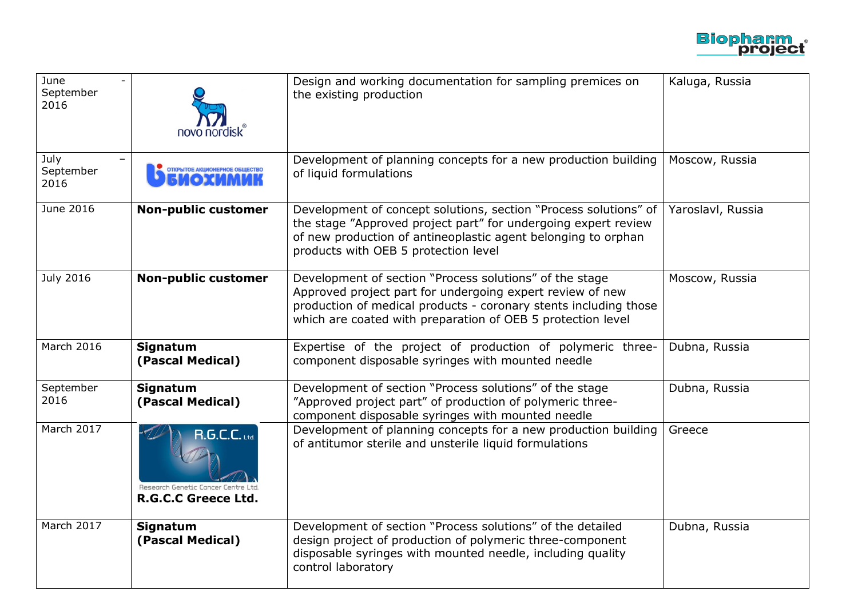

| June<br>September<br>2016 | novo nordisk                                                                             | Design and working documentation for sampling premices on<br>the existing production                                                                                                                                                                    | Kaluga, Russia    |
|---------------------------|------------------------------------------------------------------------------------------|---------------------------------------------------------------------------------------------------------------------------------------------------------------------------------------------------------------------------------------------------------|-------------------|
| July<br>September<br>2016 | ОТКРЫТОЕ АКЦИОНЕРНОЕ ОБЩЕСТВО                                                            | Development of planning concepts for a new production building<br>of liquid formulations                                                                                                                                                                | Moscow, Russia    |
| June 2016                 | <b>Non-public customer</b>                                                               | Development of concept solutions, section "Process solutions" of<br>the stage "Approved project part" for undergoing expert review<br>of new production of antineoplastic agent belonging to orphan<br>products with OEB 5 protection level             | Yaroslavl, Russia |
| <b>July 2016</b>          | <b>Non-public customer</b>                                                               | Development of section "Process solutions" of the stage<br>Approved project part for undergoing expert review of new<br>production of medical products - coronary stents including those<br>which are coated with preparation of OEB 5 protection level | Moscow, Russia    |
| March 2016                | Signatum<br>(Pascal Medical)                                                             | Expertise of the project of production of polymeric three-<br>component disposable syringes with mounted needle                                                                                                                                         | Dubna, Russia     |
| September<br>2016         | <b>Signatum</b><br>(Pascal Medical)                                                      | Development of section "Process solutions" of the stage<br>"Approved project part" of production of polymeric three-<br>component disposable syringes with mounted needle                                                                               | Dubna, Russia     |
| March 2017                | <b>R.G.C.C.</b> Ltd.<br>Research Genetic Cancer Centre Ltd<br><b>R.G.C.C Greece Ltd.</b> | Development of planning concepts for a new production building<br>of antitumor sterile and unsterile liquid formulations                                                                                                                                | Greece            |
| March 2017                | <b>Signatum</b><br>(Pascal Medical)                                                      | Development of section "Process solutions" of the detailed<br>design project of production of polymeric three-component<br>disposable syringes with mounted needle, including quality<br>control laboratory                                             | Dubna, Russia     |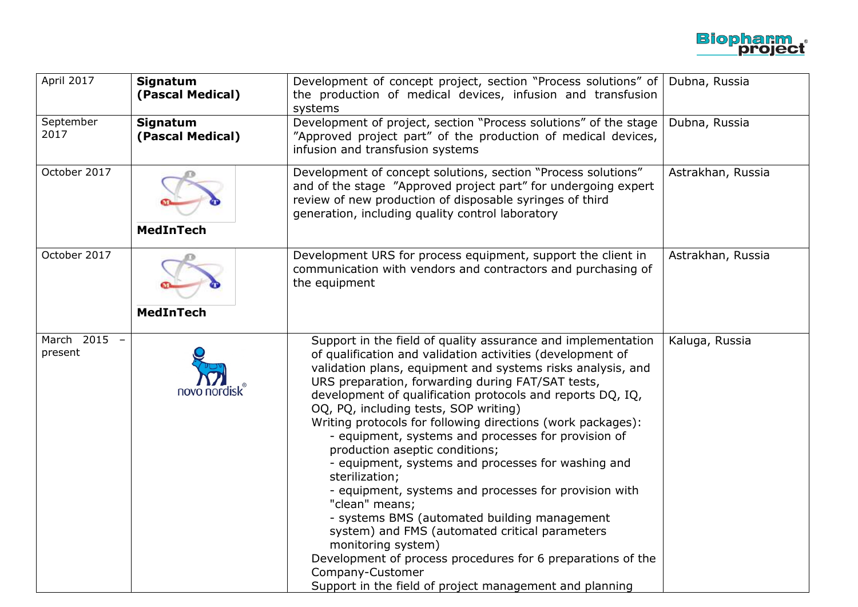

| April 2017              | <b>Signatum</b><br>(Pascal Medical) | Development of concept project, section "Process solutions" of<br>the production of medical devices, infusion and transfusion<br>systems                                                                                                                                                                                                                                                                                                                                                                                                                                                                                                                                                                                                                                                                                                                                                                                               | Dubna, Russia     |
|-------------------------|-------------------------------------|----------------------------------------------------------------------------------------------------------------------------------------------------------------------------------------------------------------------------------------------------------------------------------------------------------------------------------------------------------------------------------------------------------------------------------------------------------------------------------------------------------------------------------------------------------------------------------------------------------------------------------------------------------------------------------------------------------------------------------------------------------------------------------------------------------------------------------------------------------------------------------------------------------------------------------------|-------------------|
| September<br>2017       | <b>Signatum</b><br>(Pascal Medical) | Development of project, section "Process solutions" of the stage<br>"Approved project part" of the production of medical devices,<br>infusion and transfusion systems                                                                                                                                                                                                                                                                                                                                                                                                                                                                                                                                                                                                                                                                                                                                                                  | Dubna, Russia     |
| October 2017            | MedInTech                           | Development of concept solutions, section "Process solutions"<br>and of the stage "Approved project part" for undergoing expert<br>review of new production of disposable syringes of third<br>generation, including quality control laboratory                                                                                                                                                                                                                                                                                                                                                                                                                                                                                                                                                                                                                                                                                        | Astrakhan, Russia |
| October 2017            | <b>MedInTech</b>                    | Development URS for process equipment, support the client in<br>communication with vendors and contractors and purchasing of<br>the equipment                                                                                                                                                                                                                                                                                                                                                                                                                                                                                                                                                                                                                                                                                                                                                                                          | Astrakhan, Russia |
| March 2015 -<br>present | novo nordisk                        | Support in the field of quality assurance and implementation<br>of qualification and validation activities (development of<br>validation plans, equipment and systems risks analysis, and<br>URS preparation, forwarding during FAT/SAT tests,<br>development of qualification protocols and reports DQ, IQ,<br>OQ, PQ, including tests, SOP writing)<br>Writing protocols for following directions (work packages):<br>- equipment, systems and processes for provision of<br>production aseptic conditions;<br>- equipment, systems and processes for washing and<br>sterilization;<br>- equipment, systems and processes for provision with<br>"clean" means;<br>- systems BMS (automated building management<br>system) and FMS (automated critical parameters<br>monitoring system)<br>Development of process procedures for 6 preparations of the<br>Company-Customer<br>Support in the field of project management and planning | Kaluga, Russia    |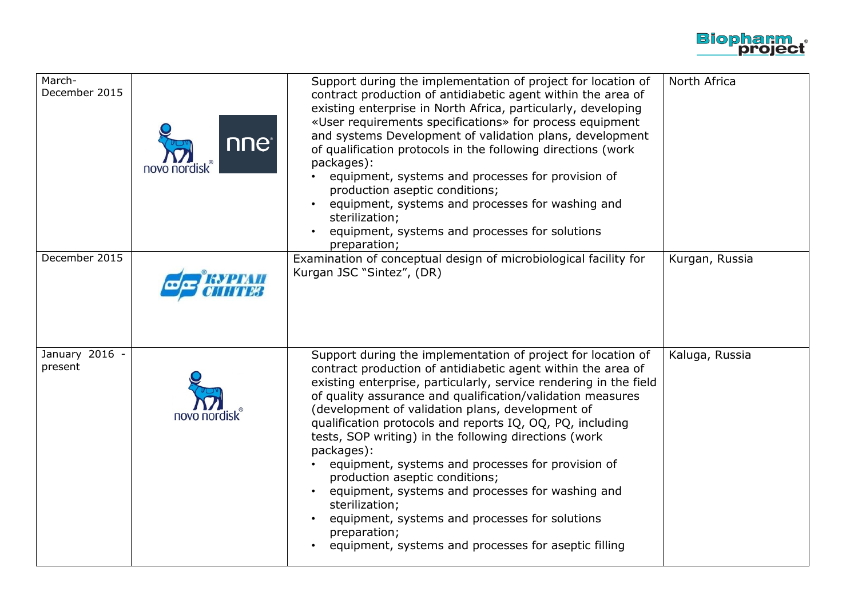

| March-<br>December 2015   | nne®<br>novo nordi | Support during the implementation of project for location of<br>contract production of antidiabetic agent within the area of<br>existing enterprise in North Africa, particularly, developing<br>«User requirements specifications» for process equipment<br>and systems Development of validation plans, development<br>of qualification protocols in the following directions (work<br>packages):<br>equipment, systems and processes for provision of<br>production aseptic conditions;<br>equipment, systems and processes for washing and<br>sterilization;<br>equipment, systems and processes for solutions<br>preparation;                                                                                                             | North Africa   |
|---------------------------|--------------------|------------------------------------------------------------------------------------------------------------------------------------------------------------------------------------------------------------------------------------------------------------------------------------------------------------------------------------------------------------------------------------------------------------------------------------------------------------------------------------------------------------------------------------------------------------------------------------------------------------------------------------------------------------------------------------------------------------------------------------------------|----------------|
| December 2015             |                    | Examination of conceptual design of microbiological facility for<br>Kurgan JSC "Sintez", (DR)                                                                                                                                                                                                                                                                                                                                                                                                                                                                                                                                                                                                                                                  | Kurgan, Russia |
| January 2016 -<br>present | novo nordisk       | Support during the implementation of project for location of<br>contract production of antidiabetic agent within the area of<br>existing enterprise, particularly, service rendering in the field<br>of quality assurance and qualification/validation measures<br>(development of validation plans, development of<br>qualification protocols and reports IQ, OQ, PQ, including<br>tests, SOP writing) in the following directions (work<br>packages):<br>equipment, systems and processes for provision of<br>production aseptic conditions;<br>equipment, systems and processes for washing and<br>sterilization;<br>equipment, systems and processes for solutions<br>preparation;<br>equipment, systems and processes for aseptic filling | Kaluga, Russia |